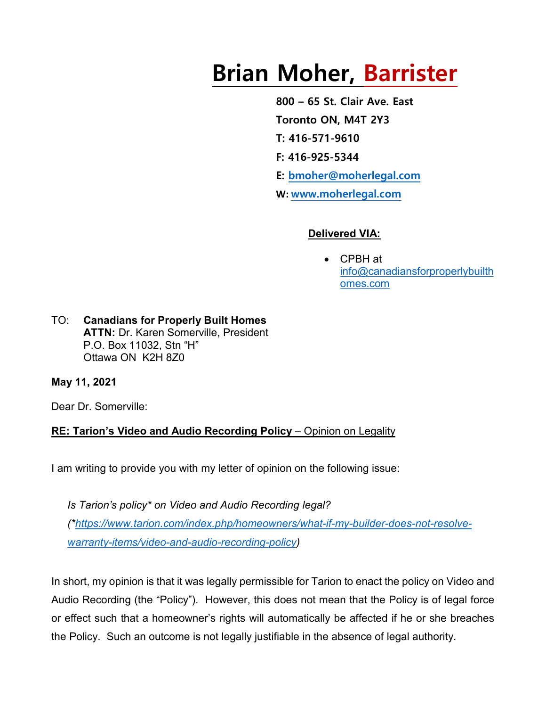# **Brian Moher, Barrister**

**800 – 65 St. Clair Ave. East Toronto ON, M4T 2Y3 T: 416-571-9610 F: 416-925-5344 E: [bmoher@moherlegal.com](mailto:bmoher@moherlegal.com) W: [www.moherlegal.com](http://www.moherlegal.com/)**

### **Delivered VIA:**

• CPBH at [info@canadiansforproperlybuilth](mailto:info@canadiansforproperlybuilthomes.com) [omes.com](mailto:info@canadiansforproperlybuilthomes.com)

TO: **Canadians for Properly Built Homes ATTN:** Dr. Karen Somerville, President P.O. Box 11032, Stn "H" Ottawa ON K2H 8Z0

**May 11, 2021**

Dear Dr. Somerville:

# **RE: Tarion's Video and Audio Recording Policy** – Opinion on Legality

I am writing to provide you with my letter of opinion on the following issue:

*Is Tarion's policy\* on Video and Audio Recording legal? ([\\*https://www.tarion.com/index.php/homeowners/what-if-my-builder-does-not-resolve](https://www.tarion.com/index.php/homeowners/what-if-my-builder-does-not-resolve-warranty-items/video-and-audio-recording-policy)[warranty-items/video-and-audio-recording-policy\)](https://www.tarion.com/index.php/homeowners/what-if-my-builder-does-not-resolve-warranty-items/video-and-audio-recording-policy)*

In short, my opinion is that it was legally permissible for Tarion to enact the policy on Video and Audio Recording (the "Policy"). However, this does not mean that the Policy is of legal force or effect such that a homeowner's rights will automatically be affected if he or she breaches the Policy. Such an outcome is not legally justifiable in the absence of legal authority.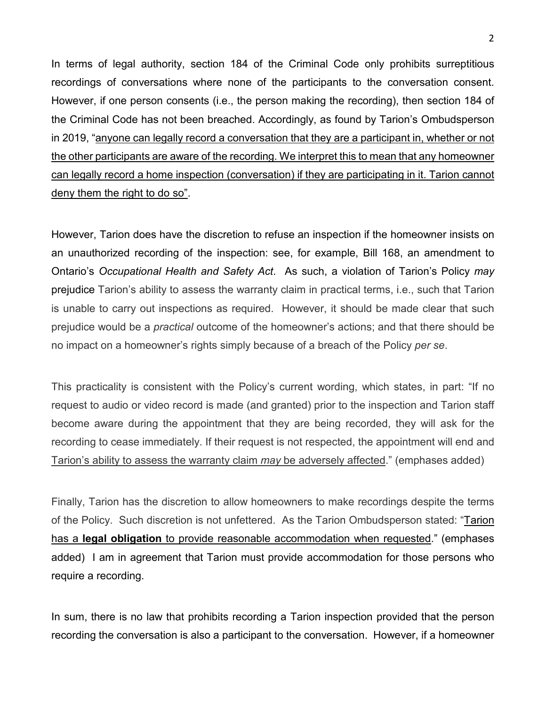In terms of legal authority, section 184 of the Criminal Code only prohibits surreptitious recordings of conversations where none of the participants to the conversation consent. However, if one person consents (i.e., the person making the recording), then section 184 of the Criminal Code has not been breached. Accordingly, as found by Tarion's Ombudsperson in 2019, "anyone can legally record a conversation that they are a participant in, whether or not the other participants are aware of the recording. We interpret this to mean that any homeowner can legally record a home inspection (conversation) if they are participating in it. Tarion cannot deny them the right to do so".

However, Tarion does have the discretion to refuse an inspection if the homeowner insists on an unauthorized recording of the inspection: see, for example, Bill 168, an amendment to Ontario's *Occupational Health and Safety Act*. As such, a violation of Tarion's Policy *may* prejudice Tarion's ability to assess the warranty claim in practical terms, i.e., such that Tarion is unable to carry out inspections as required. However, it should be made clear that such prejudice would be a *practical* outcome of the homeowner's actions; and that there should be no impact on a homeowner's rights simply because of a breach of the Policy *per se*.

This practicality is consistent with the Policy's current wording, which states, in part: "If no request to audio or video record is made (and granted) prior to the inspection and Tarion staff become aware during the appointment that they are being recorded, they will ask for the recording to cease immediately. If their request is not respected, the appointment will end and Tarion's ability to assess the warranty claim *may* be adversely affected." (emphases added)

Finally, Tarion has the discretion to allow homeowners to make recordings despite the terms of the Policy. Such discretion is not unfettered. As the Tarion Ombudsperson stated: "Tarion has a **legal obligation** to provide reasonable accommodation when requested." (emphases added) I am in agreement that Tarion must provide accommodation for those persons who require a recording.

In sum, there is no law that prohibits recording a Tarion inspection provided that the person recording the conversation is also a participant to the conversation. However, if a homeowner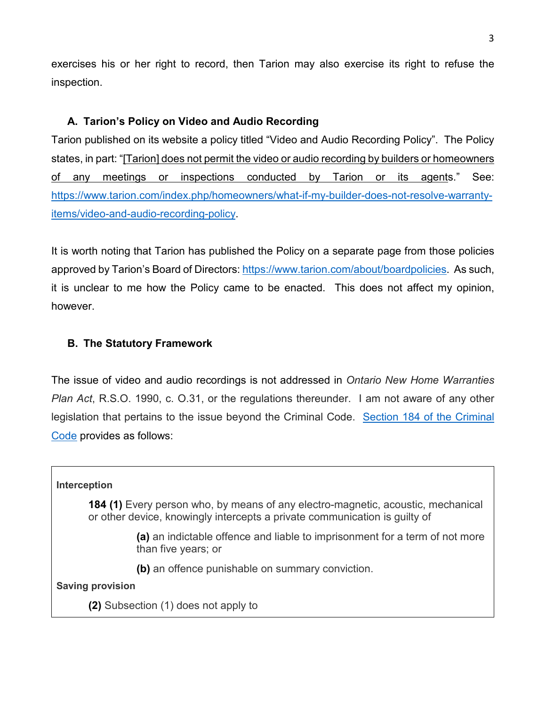exercises his or her right to record, then Tarion may also exercise its right to refuse the inspection.

## **A. Tarion's Policy on Video and Audio Recording**

Tarion published on its website a policy titled "Video and Audio Recording Policy". The Policy states, in part: "[Tarion] does not permit the video or audio recording by builders or homeowners of any meetings or inspections conducted by Tarion or its agents." See: [https://www.tarion.com/index.php/homeowners/what-if-my-builder-does-not-resolve-warranty](https://www.tarion.com/index.php/homeowners/what-if-my-builder-does-not-resolve-warranty-items/video-and-audio-recording-policy)[items/video-and-audio-recording-policy.](https://www.tarion.com/index.php/homeowners/what-if-my-builder-does-not-resolve-warranty-items/video-and-audio-recording-policy)

It is worth noting that Tarion has published the Policy on a separate page from those policies approved by Tarion's Board of Directors: [https://www.tarion.com/about/boardpolicies.](https://www.tarion.com/about/boardpolicies) As such, it is unclear to me how the Policy came to be enacted. This does not affect my opinion, however.

## **B. The Statutory Framework**

The issue of video and audio recordings is not addressed in *Ontario New Home Warranties Plan Act*, R.S.O. 1990, c. O.31, or the regulations thereunder. I am not aware of any other legislation that pertains to the issue beyond the Criminal Code. [Section 184 of the Criminal](https://laws-lois.justice.gc.ca/eng/acts/c-46/section-184.html)  [Code](https://laws-lois.justice.gc.ca/eng/acts/c-46/section-184.html) provides as follows:

#### **Interception**

**184 (1)** Every person who, by means of any electro-magnetic, acoustic, mechanical or other device, knowingly intercepts a private communication is guilty of

> **(a)** an indictable offence and liable to imprisonment for a term of not more than five years; or

**(b)** an offence punishable on summary conviction.

**Saving provision**

**(2)** Subsection (1) does not apply to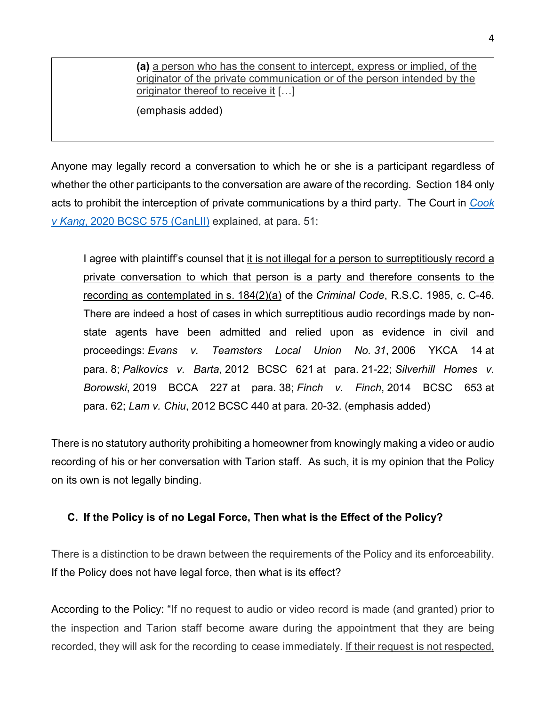**(a)** a person who has the consent to intercept, express or implied, of the originator of the private communication or of the person intended by the originator thereof to receive it […]

(emphasis added)

Anyone may legally record a conversation to which he or she is a participant regardless of whether the other participants to the conversation are aware of the recording. Section 184 only acts to prohibit the interception of private communications by a third party. The Court in *[Cook](https://www.canlii.org/en/bc/bcsc/doc/2020/2020bcsc575/2020bcsc575.html)  v Kang*[, 2020 BCSC 575 \(CanLII\)](https://www.canlii.org/en/bc/bcsc/doc/2020/2020bcsc575/2020bcsc575.html) explained, at para. 51:

I agree with plaintiff's counsel that it is not illegal for a person to surreptitiously record a private conversation to which that person is a party and therefore consents to the recording as contemplated in s. [184\(2\)\(](https://www.canlii.org/en/ca/laws/stat/rsc-1985-c-c-46/latest/rsc-1985-c-c-46.html#sec184subsec2_smooth)a) of the *Criminal Code*[, R.S.C. 1985, c.](https://www.canlii.org/en/ca/laws/stat/rsc-1985-c-c-46/latest/rsc-1985-c-c-46.html) C-46. There are indeed a host of cases in which surreptitious audio recordings made by nonstate agents have been admitted and relied upon as evidence in civil and proceedings: *Evans v. Teamsters Local Union No. 31*, [2006 YKCA 14](https://www.canlii.org/en/yk/ykca/doc/2006/2006ykca14/2006ykca14.html) at para. [8;](https://www.canlii.org/en/yk/ykca/doc/2006/2006ykca14/2006ykca14.html#par8) *Palkovics v. Barta*, [2012 BCSC 621](https://www.canlii.org/en/bc/bcsc/doc/2012/2012bcsc621/2012bcsc621.html) at para. [21-22;](https://www.canlii.org/en/bc/bcsc/doc/2012/2012bcsc621/2012bcsc621.html#par21) *Silverhill Homes v. Borowski*, [2019 BCCA 227](https://www.canlii.org/en/bc/bcca/doc/2019/2019bcca227/2019bcca227.html) at para. [38;](https://www.canlii.org/en/bc/bcca/doc/2019/2019bcca227/2019bcca227.html#par38) *Finch v. Finch*, [2014 BCSC 653](https://www.canlii.org/en/bc/bcsc/doc/2014/2014bcsc653/2014bcsc653.html) at para. [62;](https://www.canlii.org/en/bc/bcsc/doc/2014/2014bcsc653/2014bcsc653.html#par62) *Lam v. Chiu*, [2012 BCSC 440](https://www.canlii.org/en/bc/bcsc/doc/2012/2012bcsc440/2012bcsc440.html) at para. [20-32.](https://www.canlii.org/en/bc/bcsc/doc/2012/2012bcsc440/2012bcsc440.html#par20) (emphasis added)

There is no statutory authority prohibiting a homeowner from knowingly making a video or audio recording of his or her conversation with Tarion staff. As such, it is my opinion that the Policy on its own is not legally binding.

# **C. If the Policy is of no Legal Force, Then what is the Effect of the Policy?**

There is a distinction to be drawn between the requirements of the Policy and its enforceability. If the Policy does not have legal force, then what is its effect?

According to the Policy: "If no request to audio or video record is made (and granted) prior to the inspection and Tarion staff become aware during the appointment that they are being recorded, they will ask for the recording to cease immediately. If their request is not respected,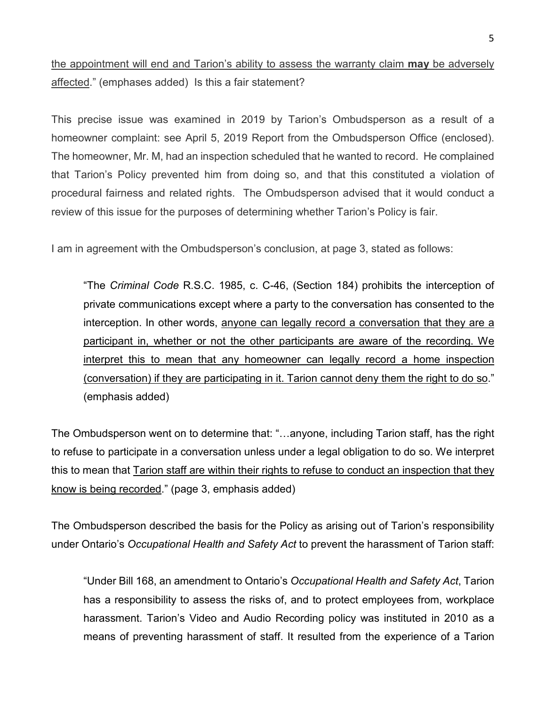# the appointment will end and Tarion's ability to assess the warranty claim **may** be adversely affected." (emphases added) Is this a fair statement?

This precise issue was examined in 2019 by Tarion's Ombudsperson as a result of a homeowner complaint: see April 5, 2019 Report from the Ombudsperson Office (enclosed). The homeowner, Mr. M, had an inspection scheduled that he wanted to record. He complained that Tarion's Policy prevented him from doing so, and that this constituted a violation of procedural fairness and related rights. The Ombudsperson advised that it would conduct a review of this issue for the purposes of determining whether Tarion's Policy is fair.

I am in agreement with the Ombudsperson's conclusion, at page 3, stated as follows:

"The *Criminal Code* R.S.C. 1985, c. C-46, (Section 184) prohibits the interception of private communications except where a party to the conversation has consented to the interception. In other words, anyone can legally record a conversation that they are a participant in, whether or not the other participants are aware of the recording. We interpret this to mean that any homeowner can legally record a home inspection (conversation) if they are participating in it. Tarion cannot deny them the right to do so." (emphasis added)

The Ombudsperson went on to determine that: "…anyone, including Tarion staff, has the right to refuse to participate in a conversation unless under a legal obligation to do so. We interpret this to mean that Tarion staff are within their rights to refuse to conduct an inspection that they know is being recorded." (page 3, emphasis added)

The Ombudsperson described the basis for the Policy as arising out of Tarion's responsibility under Ontario's *Occupational Health and Safety Act* to prevent the harassment of Tarion staff:

"Under Bill 168, an amendment to Ontario's *Occupational Health and Safety Act*, Tarion has a responsibility to assess the risks of, and to protect employees from, workplace harassment. Tarion's Video and Audio Recording policy was instituted in 2010 as a means of preventing harassment of staff. It resulted from the experience of a Tarion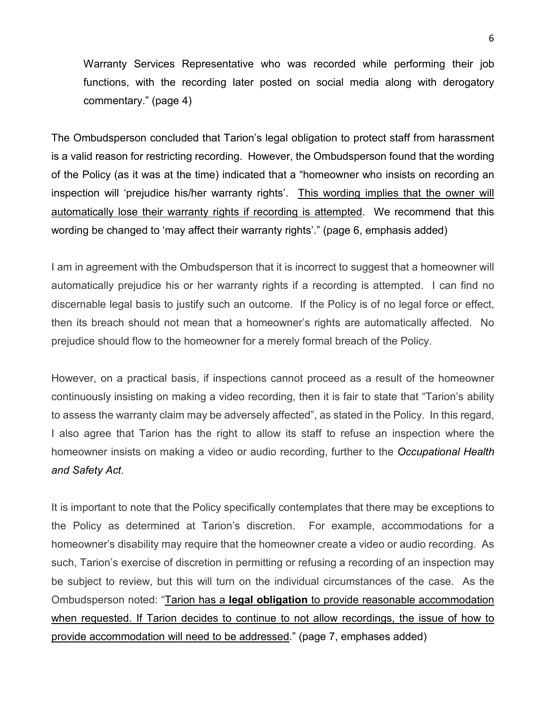Warranty Services Representative who was recorded while performing their job functions, with the recording later posted on social media along with derogatory commentary." (page 4)

The Ombudsperson concluded that Tarion's legal obligation to protect staff from harassment is a valid reason for restricting recording. However, the Ombudsperson found that the wording of the Policy (as it was at the time) indicated that a "homeowner who insists on recording an inspection will 'prejudice his/her warranty rights'. This wording implies that the owner will automatically lose their warranty rights if recording is attempted. We recommend that this wording be changed to 'may affect their warranty rights'." (page 6, emphasis added)

I am in agreement with the Ombudsperson that it is incorrect to suggest that a homeowner will automatically prejudice his or her warranty rights if a recording is attempted. I can find no discernable legal basis to justify such an outcome. If the Policy is of no legal force or effect, then its breach should not mean that a homeowner's rights are automatically affected. No prejudice should flow to the homeowner for a merely formal breach of the Policy.

However, on a practical basis, if inspections cannot proceed as a result of the homeowner continuously insisting on making a video recording, then it is fair to state that "Tarion's ability to assess the warranty claim may be adversely affected", as stated in the Policy. In this regard, I also agree that Tarion has the right to allow its staff to refuse an inspection where the homeowner insists on making a video or audio recording, further to the *Occupational Health and Safety Act*.

It is important to note that the Policy specifically contemplates that there may be exceptions to the Policy as determined at Tarion's discretion. For example, accommodations for a homeowner's disability may require that the homeowner create a video or audio recording. As such, Tarion's exercise of discretion in permitting or refusing a recording of an inspection may be subject to review, but this will turn on the individual circumstances of the case. As the Ombudsperson noted: "Tarion has a **legal obligation** to provide reasonable accommodation when requested. If Tarion decides to continue to not allow recordings, the issue of how to provide accommodation will need to be addressed." (page 7, emphases added)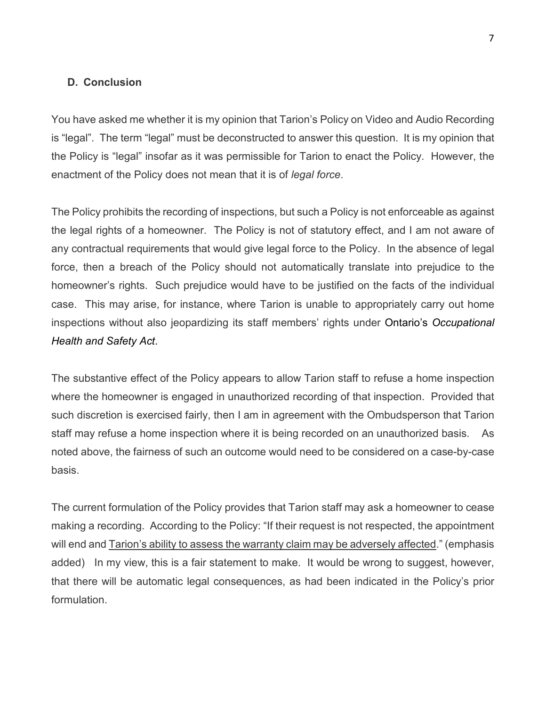#### **D. Conclusion**

You have asked me whether it is my opinion that Tarion's Policy on Video and Audio Recording is "legal". The term "legal" must be deconstructed to answer this question. It is my opinion that the Policy is "legal" insofar as it was permissible for Tarion to enact the Policy. However, the enactment of the Policy does not mean that it is of *legal force*.

The Policy prohibits the recording of inspections, but such a Policy is not enforceable as against the legal rights of a homeowner. The Policy is not of statutory effect, and I am not aware of any contractual requirements that would give legal force to the Policy. In the absence of legal force, then a breach of the Policy should not automatically translate into prejudice to the homeowner's rights. Such prejudice would have to be justified on the facts of the individual case. This may arise, for instance, where Tarion is unable to appropriately carry out home inspections without also jeopardizing its staff members' rights under Ontario's *Occupational Health and Safety Act*.

The substantive effect of the Policy appears to allow Tarion staff to refuse a home inspection where the homeowner is engaged in unauthorized recording of that inspection. Provided that such discretion is exercised fairly, then I am in agreement with the Ombudsperson that Tarion staff may refuse a home inspection where it is being recorded on an unauthorized basis. As noted above, the fairness of such an outcome would need to be considered on a case-by-case basis.

The current formulation of the Policy provides that Tarion staff may ask a homeowner to cease making a recording. According to the Policy: "If their request is not respected, the appointment will end and **Tarion's ability to assess the warranty claim may be adversely affected**." (emphasis added) In my view, this is a fair statement to make. It would be wrong to suggest, however, that there will be automatic legal consequences, as had been indicated in the Policy's prior formulation.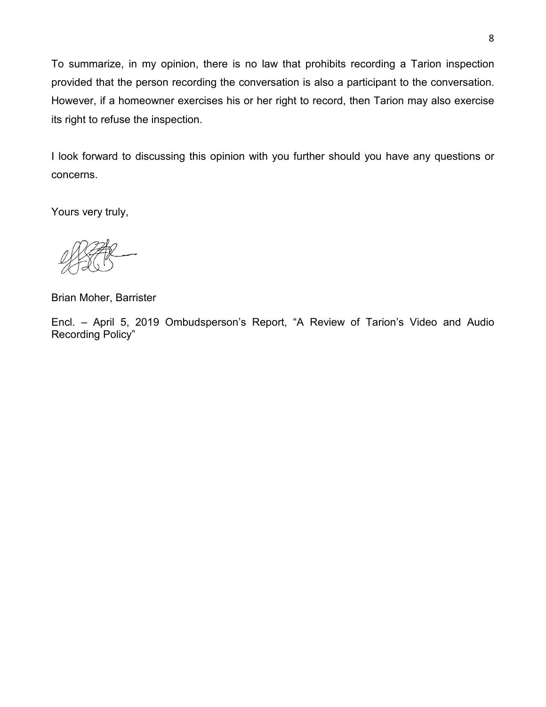To summarize, in my opinion, there is no law that prohibits recording a Tarion inspection provided that the person recording the conversation is also a participant to the conversation. However, if a homeowner exercises his or her right to record, then Tarion may also exercise its right to refuse the inspection.

I look forward to discussing this opinion with you further should you have any questions or concerns.

Yours very truly,

Brian Moher, Barrister

Encl. – April 5, 2019 Ombudsperson's Report, "A Review of Tarion's Video and Audio Recording Policy"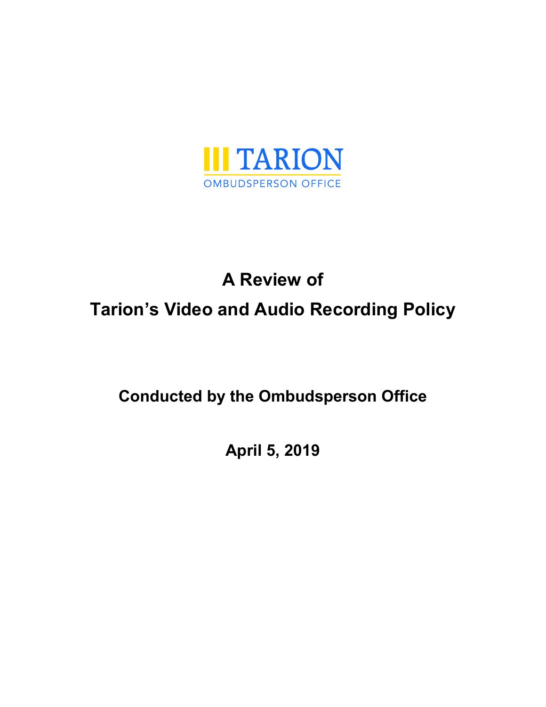

# **A Review of Tarion's Video and Audio Recording Policy**

# **Conducted by the Ombudsperson Office**

**April 5, 2019**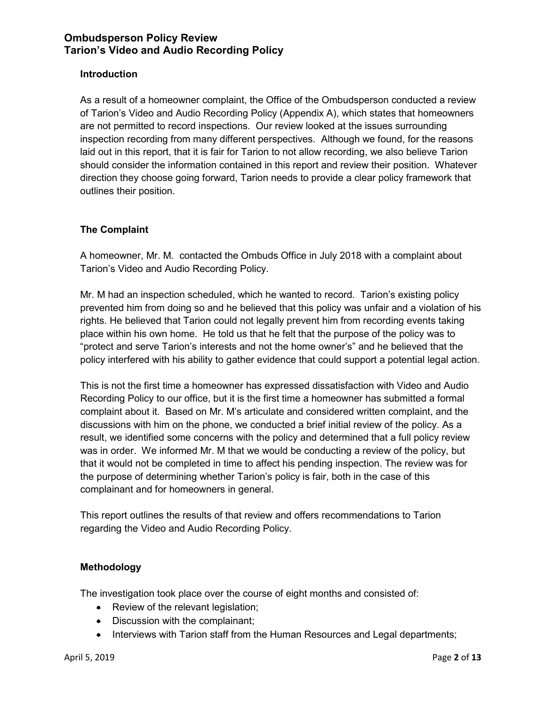#### **Introduction**

As a result of a homeowner complaint, the Office of the Ombudsperson conducted a review of Tarion's Video and Audio Recording Policy (Appendix A), which states that homeowners are not permitted to record inspections. Our review looked at the issues surrounding inspection recording from many different perspectives. Although we found, for the reasons laid out in this report, that it is fair for Tarion to not allow recording, we also believe Tarion should consider the information contained in this report and review their position. Whatever direction they choose going forward, Tarion needs to provide a clear policy framework that outlines their position.

#### **The Complaint**

A homeowner, Mr. M. contacted the Ombuds Office in July 2018 with a complaint about Tarion's Video and Audio Recording Policy.

Mr. M had an inspection scheduled, which he wanted to record. Tarion's existing policy prevented him from doing so and he believed that this policy was unfair and a violation of his rights. He believed that Tarion could not legally prevent him from recording events taking place within his own home. He told us that he felt that the purpose of the policy was to "protect and serve Tarion's interests and not the home owner's" and he believed that the policy interfered with his ability to gather evidence that could support a potential legal action.

This is not the first time a homeowner has expressed dissatisfaction with Video and Audio Recording Policy to our office, but it is the first time a homeowner has submitted a formal complaint about it. Based on Mr. M's articulate and considered written complaint, and the discussions with him on the phone, we conducted a brief initial review of the policy. As a result, we identified some concerns with the policy and determined that a full policy review was in order. We informed Mr. M that we would be conducting a review of the policy, but that it would not be completed in time to affect his pending inspection. The review was for the purpose of determining whether Tarion's policy is fair, both in the case of this complainant and for homeowners in general.

This report outlines the results of that review and offers recommendations to Tarion regarding the Video and Audio Recording Policy.

#### **Methodology**

The investigation took place over the course of eight months and consisted of:

- Review of the relevant legislation;
- Discussion with the complainant;
- Interviews with Tarion staff from the Human Resources and Legal departments;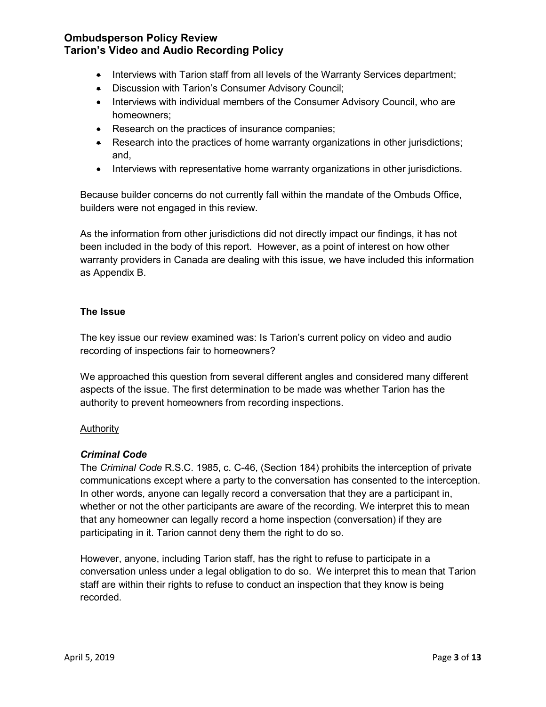- Interviews with Tarion staff from all levels of the Warranty Services department;
- Discussion with Tarion's Consumer Advisory Council;
- Interviews with individual members of the Consumer Advisory Council, who are homeowners;
- Research on the practices of insurance companies;
- Research into the practices of home warranty organizations in other jurisdictions; and,
- Interviews with representative home warranty organizations in other jurisdictions.

Because builder concerns do not currently fall within the mandate of the Ombuds Office, builders were not engaged in this review.

As the information from other jurisdictions did not directly impact our findings, it has not been included in the body of this report. However, as a point of interest on how other warranty providers in Canada are dealing with this issue, we have included this information as Appendix B.

#### **The Issue**

The key issue our review examined was: Is Tarion's current policy on video and audio recording of inspections fair to homeowners?

We approached this question from several different angles and considered many different aspects of the issue. The first determination to be made was whether Tarion has the authority to prevent homeowners from recording inspections.

#### **Authority**

#### *Criminal Code*

The *Criminal Code* R.S.C. 1985, c. C-46, (Section 184) prohibits the interception of private communications except where a party to the conversation has consented to the interception. In other words, anyone can legally record a conversation that they are a participant in, whether or not the other participants are aware of the recording. We interpret this to mean that any homeowner can legally record a home inspection (conversation) if they are participating in it. Tarion cannot deny them the right to do so.

However, anyone, including Tarion staff, has the right to refuse to participate in a conversation unless under a legal obligation to do so. We interpret this to mean that Tarion staff are within their rights to refuse to conduct an inspection that they know is being recorded.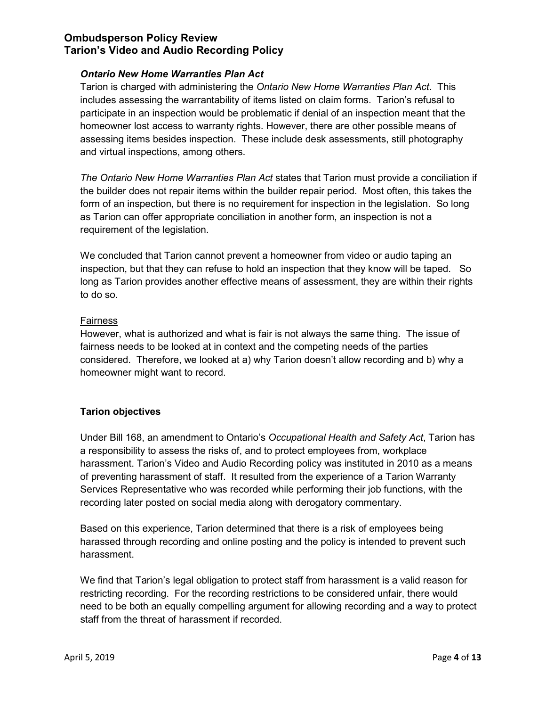#### *Ontario New Home Warranties Plan Act*

Tarion is charged with administering the *Ontario New Home Warranties Plan Act*. This includes assessing the warrantability of items listed on claim forms. Tarion's refusal to participate in an inspection would be problematic if denial of an inspection meant that the homeowner lost access to warranty rights. However, there are other possible means of assessing items besides inspection. These include desk assessments, still photography and virtual inspections, among others.

*The Ontario New Home Warranties Plan Act* states that Tarion must provide a conciliation if the builder does not repair items within the builder repair period. Most often, this takes the form of an inspection, but there is no requirement for inspection in the legislation. So long as Tarion can offer appropriate conciliation in another form, an inspection is not a requirement of the legislation.

We concluded that Tarion cannot prevent a homeowner from video or audio taping an inspection, but that they can refuse to hold an inspection that they know will be taped. So long as Tarion provides another effective means of assessment, they are within their rights to do so.

#### Fairness

However, what is authorized and what is fair is not always the same thing. The issue of fairness needs to be looked at in context and the competing needs of the parties considered. Therefore, we looked at a) why Tarion doesn't allow recording and b) why a homeowner might want to record.

#### **Tarion objectives**

Under Bill 168, an amendment to Ontario's *Occupational Health and Safety Act*, Tarion has a responsibility to assess the risks of, and to protect employees from, workplace harassment. Tarion's Video and Audio Recording policy was instituted in 2010 as a means of preventing harassment of staff. It resulted from the experience of a Tarion Warranty Services Representative who was recorded while performing their job functions, with the recording later posted on social media along with derogatory commentary.

Based on this experience, Tarion determined that there is a risk of employees being harassed through recording and online posting and the policy is intended to prevent such harassment.

We find that Tarion's legal obligation to protect staff from harassment is a valid reason for restricting recording. For the recording restrictions to be considered unfair, there would need to be both an equally compelling argument for allowing recording and a way to protect staff from the threat of harassment if recorded.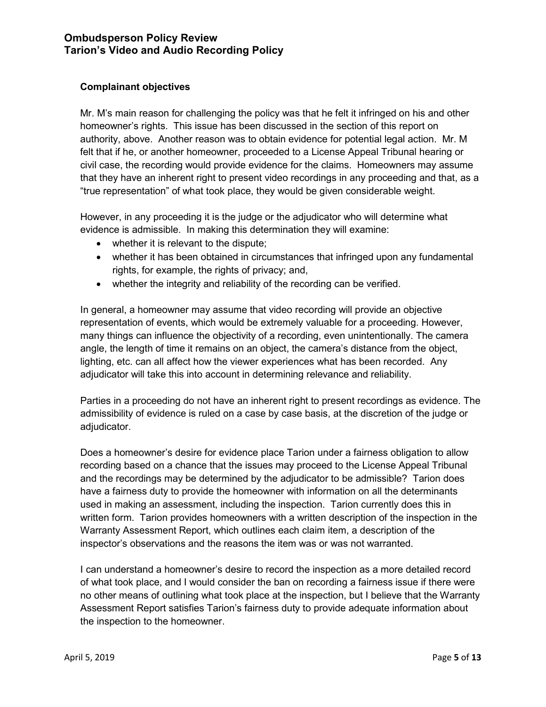#### **Complainant objectives**

Mr. M's main reason for challenging the policy was that he felt it infringed on his and other homeowner's rights. This issue has been discussed in the section of this report on authority, above. Another reason was to obtain evidence for potential legal action. Mr. M felt that if he, or another homeowner, proceeded to a License Appeal Tribunal hearing or civil case, the recording would provide evidence for the claims. Homeowners may assume that they have an inherent right to present video recordings in any proceeding and that, as a "true representation" of what took place, they would be given considerable weight.

However, in any proceeding it is the judge or the adjudicator who will determine what evidence is admissible. In making this determination they will examine:

- whether it is relevant to the dispute;
- whether it has been obtained in circumstances that infringed upon any fundamental rights, for example, the rights of privacy; and,
- whether the integrity and reliability of the recording can be verified.

In general, a homeowner may assume that video recording will provide an objective representation of events, which would be extremely valuable for a proceeding. However, many things can influence the objectivity of a recording, even unintentionally. The camera angle, the length of time it remains on an object, the camera's distance from the object, lighting, etc. can all affect how the viewer experiences what has been recorded. Any adjudicator will take this into account in determining relevance and reliability.

Parties in a proceeding do not have an inherent right to present recordings as evidence. The admissibility of evidence is ruled on a case by case basis, at the discretion of the judge or adjudicator.

Does a homeowner's desire for evidence place Tarion under a fairness obligation to allow recording based on a chance that the issues may proceed to the License Appeal Tribunal and the recordings may be determined by the adjudicator to be admissible? Tarion does have a fairness duty to provide the homeowner with information on all the determinants used in making an assessment, including the inspection. Tarion currently does this in written form. Tarion provides homeowners with a written description of the inspection in the Warranty Assessment Report, which outlines each claim item, a description of the inspector's observations and the reasons the item was or was not warranted.

I can understand a homeowner's desire to record the inspection as a more detailed record of what took place, and I would consider the ban on recording a fairness issue if there were no other means of outlining what took place at the inspection, but I believe that the Warranty Assessment Report satisfies Tarion's fairness duty to provide adequate information about the inspection to the homeowner.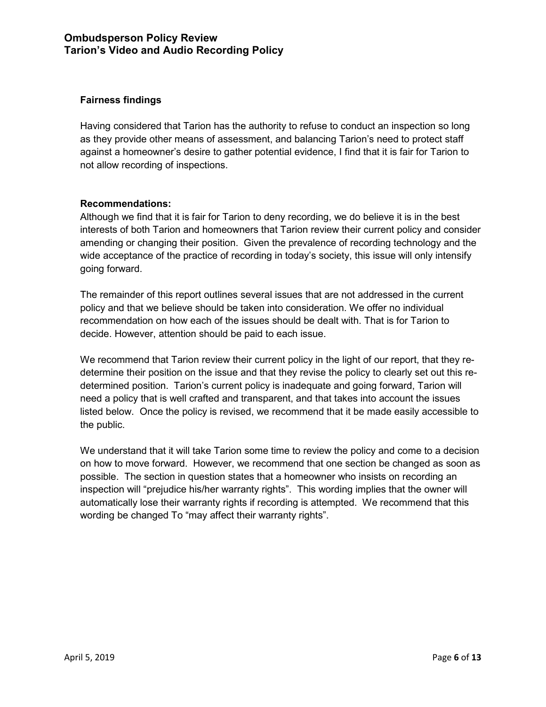#### **Fairness findings**

Having considered that Tarion has the authority to refuse to conduct an inspection so long as they provide other means of assessment, and balancing Tarion's need to protect staff against a homeowner's desire to gather potential evidence, I find that it is fair for Tarion to not allow recording of inspections.

#### **Recommendations:**

Although we find that it is fair for Tarion to deny recording, we do believe it is in the best interests of both Tarion and homeowners that Tarion review their current policy and consider amending or changing their position. Given the prevalence of recording technology and the wide acceptance of the practice of recording in today's society, this issue will only intensify going forward.

The remainder of this report outlines several issues that are not addressed in the current policy and that we believe should be taken into consideration. We offer no individual recommendation on how each of the issues should be dealt with. That is for Tarion to decide. However, attention should be paid to each issue.

We recommend that Tarion review their current policy in the light of our report, that they redetermine their position on the issue and that they revise the policy to clearly set out this redetermined position. Tarion's current policy is inadequate and going forward, Tarion will need a policy that is well crafted and transparent, and that takes into account the issues listed below. Once the policy is revised, we recommend that it be made easily accessible to the public.

We understand that it will take Tarion some time to review the policy and come to a decision on how to move forward. However, we recommend that one section be changed as soon as possible. The section in question states that a homeowner who insists on recording an inspection will "prejudice his/her warranty rights". This wording implies that the owner will automatically lose their warranty rights if recording is attempted. We recommend that this wording be changed To "may affect their warranty rights".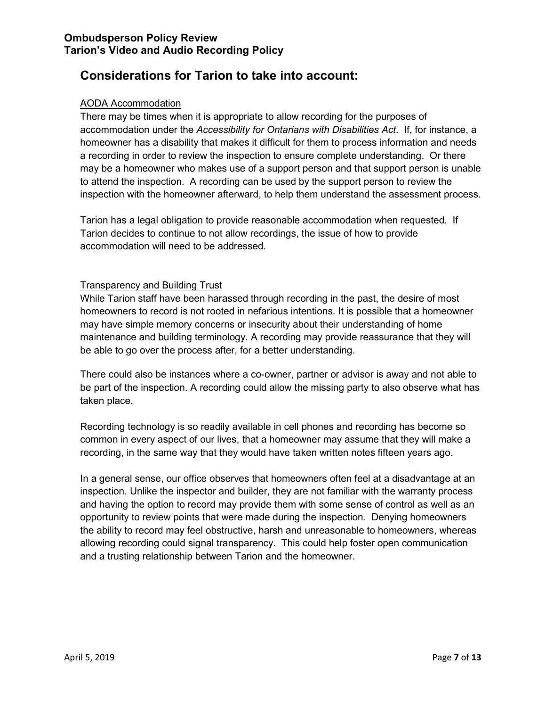# **Considerations for Tarion to take into account:**

#### AODA Accommodation

There may be times when it is appropriate to allow recording for the purposes of accommodation under the *Accessibility for Ontarians with Disabilities Act*. If, for instance, a homeowner has a disability that makes it difficult for them to process information and needs a recording in order to review the inspection to ensure complete understanding. Or there may be a homeowner who makes use of a support person and that support person is unable to attend the inspection. A recording can be used by the support person to review the inspection with the homeowner afterward, to help them understand the assessment process.

Tarion has a legal obligation to provide reasonable accommodation when requested. If Tarion decides to continue to not allow recordings, the issue of how to provide accommodation will need to be addressed.

#### Transparency and Building Trust

While Tarion staff have been harassed through recording in the past, the desire of most homeowners to record is not rooted in nefarious intentions. It is possible that a homeowner may have simple memory concerns or insecurity about their understanding of home maintenance and building terminology. A recording may provide reassurance that they will be able to go over the process after, for a better understanding.

There could also be instances where a co-owner, partner or advisor is away and not able to be part of the inspection. A recording could allow the missing party to also observe what has taken place.

Recording technology is so readily available in cell phones and recording has become so common in every aspect of our lives, that a homeowner may assume that they will make a recording, in the same way that they would have taken written notes fifteen years ago.

In a general sense, our office observes that homeowners often feel at a disadvantage at an inspection. Unlike the inspector and builder, they are not familiar with the warranty process and having the option to record may provide them with some sense of control as well as an opportunity to review points that were made during the inspection. Denying homeowners the ability to record may feel obstructive, harsh and unreasonable to homeowners, whereas allowing recording could signal transparency. This could help foster open communication and a trusting relationship between Tarion and the homeowner.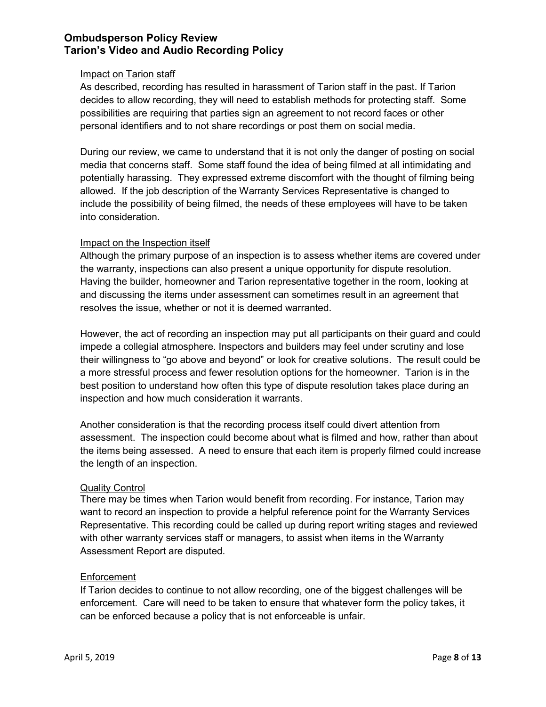#### Impact on Tarion staff

As described, recording has resulted in harassment of Tarion staff in the past. If Tarion decides to allow recording, they will need to establish methods for protecting staff. Some possibilities are requiring that parties sign an agreement to not record faces or other personal identifiers and to not share recordings or post them on social media.

During our review, we came to understand that it is not only the danger of posting on social media that concerns staff. Some staff found the idea of being filmed at all intimidating and potentially harassing. They expressed extreme discomfort with the thought of filming being allowed. If the job description of the Warranty Services Representative is changed to include the possibility of being filmed, the needs of these employees will have to be taken into consideration.

#### Impact on the Inspection itself

Although the primary purpose of an inspection is to assess whether items are covered under the warranty, inspections can also present a unique opportunity for dispute resolution. Having the builder, homeowner and Tarion representative together in the room, looking at and discussing the items under assessment can sometimes result in an agreement that resolves the issue, whether or not it is deemed warranted.

However, the act of recording an inspection may put all participants on their guard and could impede a collegial atmosphere. Inspectors and builders may feel under scrutiny and lose their willingness to "go above and beyond" or look for creative solutions. The result could be a more stressful process and fewer resolution options for the homeowner. Tarion is in the best position to understand how often this type of dispute resolution takes place during an inspection and how much consideration it warrants.

Another consideration is that the recording process itself could divert attention from assessment. The inspection could become about what is filmed and how, rather than about the items being assessed. A need to ensure that each item is properly filmed could increase the length of an inspection.

#### Quality Control

There may be times when Tarion would benefit from recording. For instance, Tarion may want to record an inspection to provide a helpful reference point for the Warranty Services Representative. This recording could be called up during report writing stages and reviewed with other warranty services staff or managers, to assist when items in the Warranty Assessment Report are disputed.

#### Enforcement

If Tarion decides to continue to not allow recording, one of the biggest challenges will be enforcement. Care will need to be taken to ensure that whatever form the policy takes, it can be enforced because a policy that is not enforceable is unfair.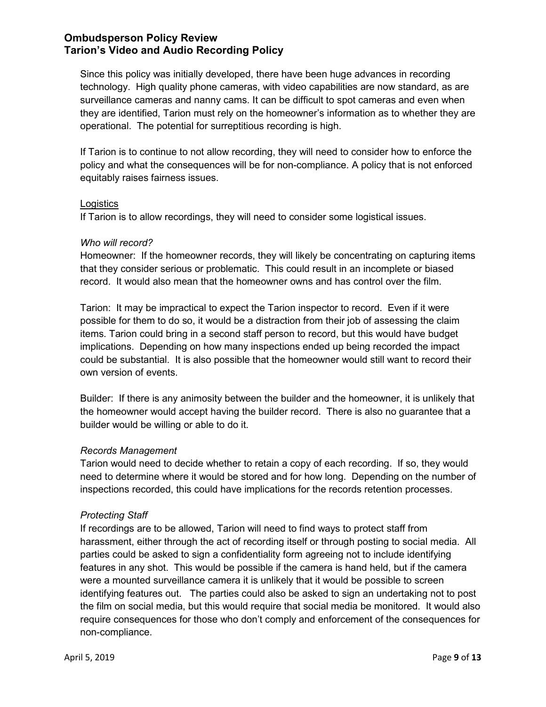Since this policy was initially developed, there have been huge advances in recording technology. High quality phone cameras, with video capabilities are now standard, as are surveillance cameras and nanny cams. It can be difficult to spot cameras and even when they are identified, Tarion must rely on the homeowner's information as to whether they are operational. The potential for surreptitious recording is high.

If Tarion is to continue to not allow recording, they will need to consider how to enforce the policy and what the consequences will be for non-compliance. A policy that is not enforced equitably raises fairness issues.

#### **Logistics**

If Tarion is to allow recordings, they will need to consider some logistical issues.

#### *Who will record?*

Homeowner: If the homeowner records, they will likely be concentrating on capturing items that they consider serious or problematic. This could result in an incomplete or biased record. It would also mean that the homeowner owns and has control over the film.

Tarion: It may be impractical to expect the Tarion inspector to record. Even if it were possible for them to do so, it would be a distraction from their job of assessing the claim items. Tarion could bring in a second staff person to record, but this would have budget implications. Depending on how many inspections ended up being recorded the impact could be substantial. It is also possible that the homeowner would still want to record their own version of events.

Builder: If there is any animosity between the builder and the homeowner, it is unlikely that the homeowner would accept having the builder record. There is also no guarantee that a builder would be willing or able to do it.

#### *Records Management*

Tarion would need to decide whether to retain a copy of each recording. If so, they would need to determine where it would be stored and for how long. Depending on the number of inspections recorded, this could have implications for the records retention processes.

#### *Protecting Staff*

If recordings are to be allowed, Tarion will need to find ways to protect staff from harassment, either through the act of recording itself or through posting to social media. All parties could be asked to sign a confidentiality form agreeing not to include identifying features in any shot. This would be possible if the camera is hand held, but if the camera were a mounted surveillance camera it is unlikely that it would be possible to screen identifying features out. The parties could also be asked to sign an undertaking not to post the film on social media, but this would require that social media be monitored. It would also require consequences for those who don't comply and enforcement of the consequences for non-compliance.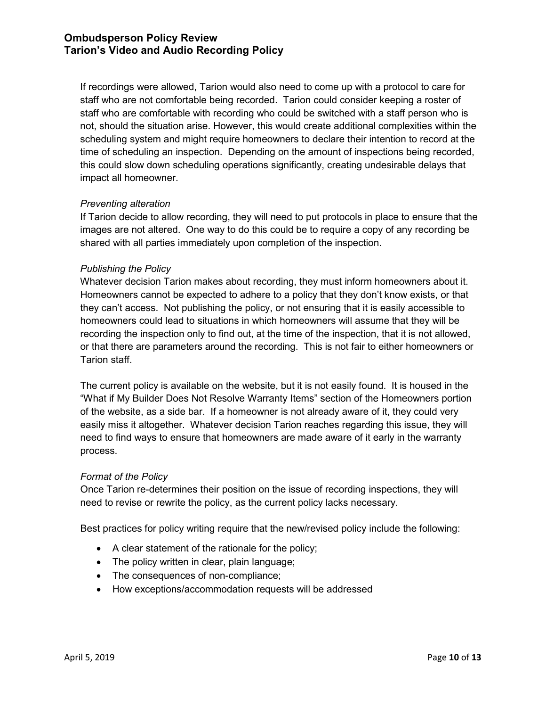If recordings were allowed, Tarion would also need to come up with a protocol to care for staff who are not comfortable being recorded. Tarion could consider keeping a roster of staff who are comfortable with recording who could be switched with a staff person who is not, should the situation arise. However, this would create additional complexities within the scheduling system and might require homeowners to declare their intention to record at the time of scheduling an inspection. Depending on the amount of inspections being recorded, this could slow down scheduling operations significantly, creating undesirable delays that impact all homeowner.

#### *Preventing alteration*

If Tarion decide to allow recording, they will need to put protocols in place to ensure that the images are not altered. One way to do this could be to require a copy of any recording be shared with all parties immediately upon completion of the inspection.

#### *Publishing the Policy*

Whatever decision Tarion makes about recording, they must inform homeowners about it. Homeowners cannot be expected to adhere to a policy that they don't know exists, or that they can't access. Not publishing the policy, or not ensuring that it is easily accessible to homeowners could lead to situations in which homeowners will assume that they will be recording the inspection only to find out, at the time of the inspection, that it is not allowed, or that there are parameters around the recording. This is not fair to either homeowners or Tarion staff.

The current policy is available on the website, but it is not easily found. It is housed in the "What if My Builder Does Not Resolve Warranty Items" section of the Homeowners portion of the website, as a side bar. If a homeowner is not already aware of it, they could very easily miss it altogether. Whatever decision Tarion reaches regarding this issue, they will need to find ways to ensure that homeowners are made aware of it early in the warranty process.

#### *Format of the Policy*

Once Tarion re-determines their position on the issue of recording inspections, they will need to revise or rewrite the policy, as the current policy lacks necessary.

Best practices for policy writing require that the new/revised policy include the following:

- A clear statement of the rationale for the policy;
- The policy written in clear, plain language;
- The consequences of non-compliance;
- How exceptions/accommodation requests will be addressed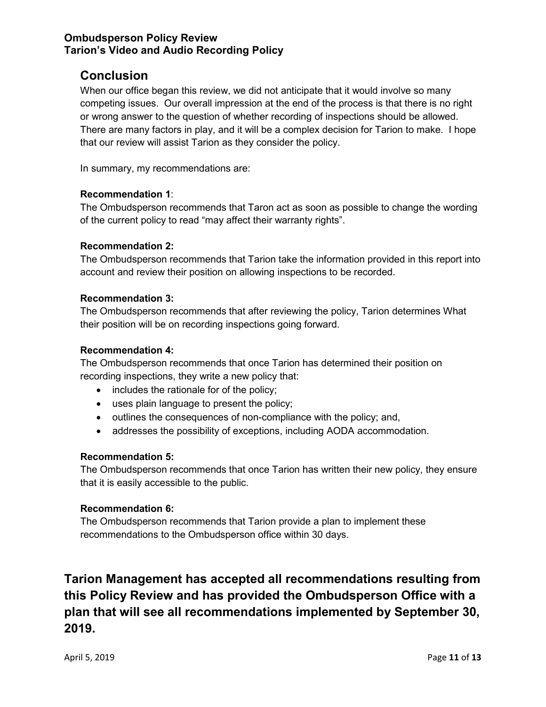# **Conclusion**

When our office began this review, we did not anticipate that it would involve so many competing issues. Our overall impression at the end of the process is that there is no right or wrong answer to the question of whether recording of inspections should be allowed. There are many factors in play, and it will be a complex decision for Tarion to make. I hope that our review will assist Tarion as they consider the policy.

In summary, my recommendations are:

#### **Recommendation 1**:

The Ombudsperson recommends that Taron act as soon as possible to change the wording of the current policy to read "may affect their warranty rights".

#### **Recommendation 2:**

The Ombudsperson recommends that Tarion take the information provided in this report into account and review their position on allowing inspections to be recorded.

#### **Recommendation 3:**

The Ombudsperson recommends that after reviewing the policy, Tarion determines What their position will be on recording inspections going forward.

#### **Recommendation 4:**

The Ombudsperson recommends that once Tarion has determined their position on recording inspections, they write a new policy that:

- includes the rationale for of the policy;
- uses plain language to present the policy;
- outlines the consequences of non-compliance with the policy; and,
- addresses the possibility of exceptions, including AODA accommodation.

#### **Recommendation 5:**

The Ombudsperson recommends that once Tarion has written their new policy, they ensure that it is easily accessible to the public.

#### **Recommendation 6:**

The Ombudsperson recommends that Tarion provide a plan to implement these recommendations to the Ombudsperson office within 30 days.

**Tarion Management has accepted all recommendations resulting from this Policy Review and has provided the Ombudsperson Office with a plan that will see all recommendations implemented by September 30, 2019.**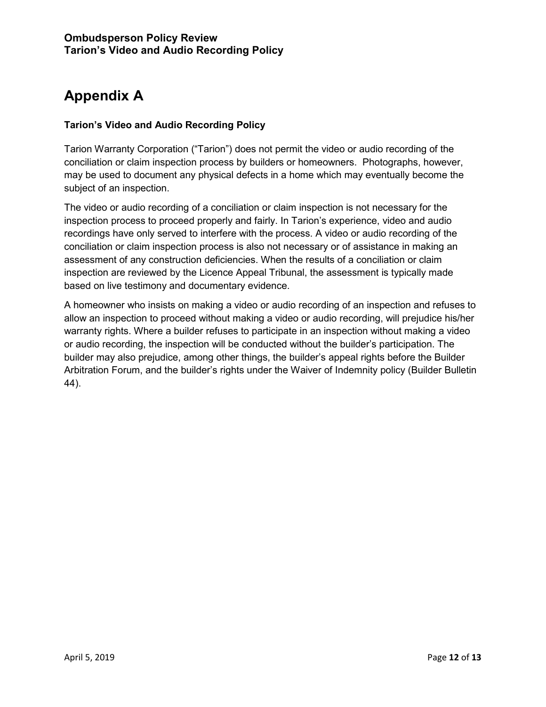# **Appendix A**

#### **Tarion's Video and Audio Recording Policy**

Tarion Warranty Corporation ("Tarion") does not permit the video or audio recording of the conciliation or claim inspection process by builders or homeowners. Photographs, however, may be used to document any physical defects in a home which may eventually become the subject of an inspection.

The video or audio recording of a conciliation or claim inspection is not necessary for the inspection process to proceed properly and fairly. In Tarion's experience, video and audio recordings have only served to interfere with the process. A video or audio recording of the conciliation or claim inspection process is also not necessary or of assistance in making an assessment of any construction deficiencies. When the results of a conciliation or claim inspection are reviewed by the Licence Appeal Tribunal, the assessment is typically made based on live testimony and documentary evidence.

A homeowner who insists on making a video or audio recording of an inspection and refuses to allow an inspection to proceed without making a video or audio recording, will prejudice his/her warranty rights. Where a builder refuses to participate in an inspection without making a video or audio recording, the inspection will be conducted without the builder's participation. The builder may also prejudice, among other things, the builder's appeal rights before the Builder Arbitration Forum, and the builder's rights under the Waiver of Indemnity policy (Builder Bulletin 44).